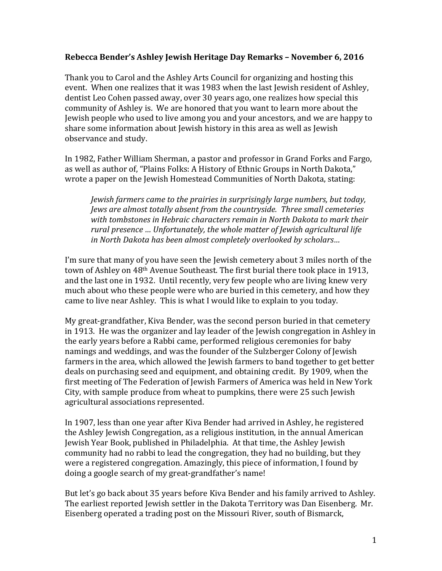#### **Rebecca Bender's Ashley Jewish Heritage Day Remarks – November 6, 2016**

Thank you to Carol and the Ashley Arts Council for organizing and hosting this event. When one realizes that it was 1983 when the last Jewish resident of Ashley, dentist Leo Cohen passed away, over 30 years ago, one realizes how special this community of Ashley is. We are honored that you want to learn more about the Jewish people who used to live among you and your ancestors, and we are happy to share some information about Jewish history in this area as well as Jewish observance and study.

In 1982, Father William Sherman, a pastor and professor in Grand Forks and Fargo, as well as author of, "Plains Folks: A History of Ethnic Groups in North Dakota," wrote a paper on the Jewish Homestead Communities of North Dakota, stating:

*Jewish farmers came to the prairies in surprisingly large numbers, but today, Jews are almost totally absent from the countryside. Three small cemeteries with tombstones in Hebraic characters remain in North Dakota to mark their rural presence … Unfortunately, the whole matter of Jewish agricultural life in North Dakota has been almost completely overlooked by scholars…*

I'm sure that many of you have seen the Jewish cemetery about 3 miles north of the town of Ashley on 48th Avenue Southeast. The first burial there took place in 1913, and the last one in 1932. Until recently, very few people who are living knew very much about who these people were who are buried in this cemetery, and how they came to live near Ashley. This is what I would like to explain to you today.

My great-grandfather, Kiva Bender, was the second person buried in that cemetery in 1913. He was the organizer and lay leader of the Jewish congregation in Ashley in the early years before a Rabbi came, performed religious ceremonies for baby namings and weddings, and was the founder of the Sulzberger Colony of Jewish farmers in the area, which allowed the Jewish farmers to band together to get better deals on purchasing seed and equipment, and obtaining credit. By 1909, when the first meeting of The Federation of Jewish Farmers of America was held in New York City, with sample produce from wheat to pumpkins, there were 25 such Jewish agricultural associations represented.

In 1907, less than one year after Kiva Bender had arrived in Ashley, he registered the Ashley Jewish Congregation, as a religious institution, in the annual American Jewish Year Book, published in Philadelphia. At that time, the Ashley Jewish community had no rabbi to lead the congregation, they had no building, but they were a registered congregation. Amazingly, this piece of information, I found by doing a google search of my great-grandfather's name!

But let's go back about 35 years before Kiva Bender and his family arrived to Ashley. The earliest reported Jewish settler in the Dakota Territory was Dan Eisenberg. Mr. Eisenberg operated a trading post on the Missouri River, south of Bismarck,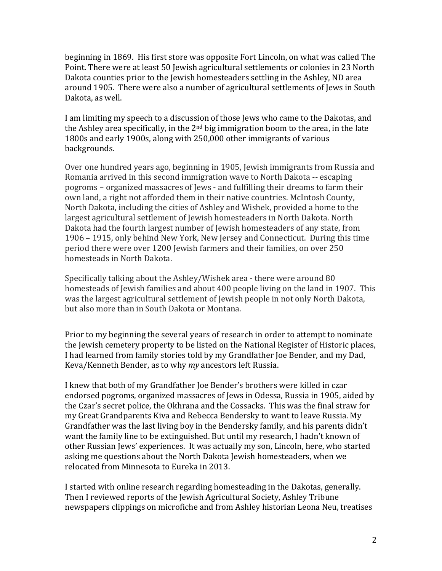beginning in 1869. His first store was opposite Fort Lincoln, on what was called The Point. There were at least 50 Jewish agricultural settlements or colonies in 23 North Dakota counties prior to the Jewish homesteaders settling in the Ashley, ND area around 1905. There were also a number of agricultural settlements of Jews in South Dakota, as well.

I am limiting my speech to a discussion of those Jews who came to the Dakotas, and the Ashley area specifically, in the  $2<sup>nd</sup>$  big immigration boom to the area, in the late 1800s and early 1900s, along with 250,000 other immigrants of various backgrounds.

Over one hundred years ago, beginning in 1905, Jewish immigrants from Russia and Romania arrived in this second immigration wave to North Dakota -- escaping pogroms – organized massacres of Jews - and fulfilling their dreams to farm their own land, a right not afforded them in their native countries. McIntosh County, North Dakota, including the cities of Ashley and Wishek, provided a home to the largest agricultural settlement of Jewish homesteaders in North Dakota. North Dakota had the fourth largest number of Jewish homesteaders of any state, from 1906 – 1915, only behind New York, New Jersey and Connecticut. During this time period there were over 1200 Jewish farmers and their families, on over 250 homesteads in North Dakota.

Specifically talking about the Ashley/Wishek area - there were around 80 homesteads of Jewish families and about 400 people living on the land in 1907. This was the largest agricultural settlement of Jewish people in not only North Dakota, but also more than in South Dakota or Montana.

Prior to my beginning the several years of research in order to attempt to nominate the Jewish cemetery property to be listed on the National Register of Historic places, I had learned from family stories told by my Grandfather Joe Bender, and my Dad, Keva/Kenneth Bender, as to why *my* ancestors left Russia.

I knew that both of my Grandfather Joe Bender's brothers were killed in czar endorsed pogroms, organized massacres of Jews in Odessa, Russia in 1905, aided by the Czar's secret police, the Okhrana and the Cossacks. This was the final straw for my Great Grandparents Kiva and Rebecca Bendersky to want to leave Russia. My Grandfather was the last living boy in the Bendersky family, and his parents didn't want the family line to be extinguished. But until my research, I hadn't known of other Russian Jews' experiences. It was actually my son, Lincoln, here, who started asking me questions about the North Dakota Jewish homesteaders, when we relocated from Minnesota to Eureka in 2013.

I started with online research regarding homesteading in the Dakotas, generally. Then I reviewed reports of the Jewish Agricultural Society, Ashley Tribune newspapers clippings on microfiche and from Ashley historian Leona Neu, treatises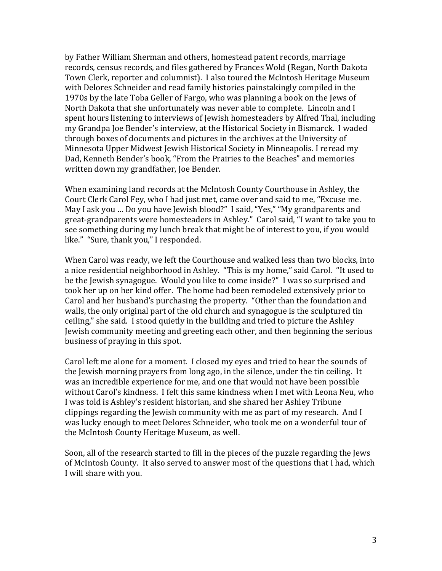by Father William Sherman and others, homestead patent records, marriage records, census records, and files gathered by Frances Wold (Regan, North Dakota Town Clerk, reporter and columnist). I also toured the McIntosh Heritage Museum with Delores Schneider and read family histories painstakingly compiled in the 1970s by the late Toba Geller of Fargo, who was planning a book on the Jews of North Dakota that she unfortunately was never able to complete. Lincoln and I spent hours listening to interviews of Jewish homesteaders by Alfred Thal, including my Grandpa Joe Bender's interview, at the Historical Society in Bismarck. I waded through boxes of documents and pictures in the archives at the University of Minnesota Upper Midwest Jewish Historical Society in Minneapolis. I reread my Dad, Kenneth Bender's book, "From the Prairies to the Beaches" and memories written down my grandfather, Joe Bender.

When examining land records at the McIntosh County Courthouse in Ashley, the Court Clerk Carol Fey, who I had just met, came over and said to me, "Excuse me. May I ask you … Do you have Jewish blood?" I said, "Yes," "My grandparents and great-grandparents were homesteaders in Ashley." Carol said, "I want to take you to see something during my lunch break that might be of interest to you, if you would like." "Sure, thank you," I responded.

When Carol was ready, we left the Courthouse and walked less than two blocks, into a nice residential neighborhood in Ashley. "This is my home," said Carol. "It used to be the Jewish synagogue. Would you like to come inside?" I was so surprised and took her up on her kind offer. The home had been remodeled extensively prior to Carol and her husband's purchasing the property. "Other than the foundation and walls, the only original part of the old church and synagogue is the sculptured tin ceiling," she said. I stood quietly in the building and tried to picture the Ashley Jewish community meeting and greeting each other, and then beginning the serious business of praying in this spot.

Carol left me alone for a moment. I closed my eyes and tried to hear the sounds of the Jewish morning prayers from long ago, in the silence, under the tin ceiling. It was an incredible experience for me, and one that would not have been possible without Carol's kindness. I felt this same kindness when I met with Leona Neu, who I was told is Ashley's resident historian, and she shared her Ashley Tribune clippings regarding the Jewish community with me as part of my research. And I was lucky enough to meet Delores Schneider, who took me on a wonderful tour of the McIntosh County Heritage Museum, as well.

Soon, all of the research started to fill in the pieces of the puzzle regarding the Jews of McIntosh County. It also served to answer most of the questions that I had, which I will share with you.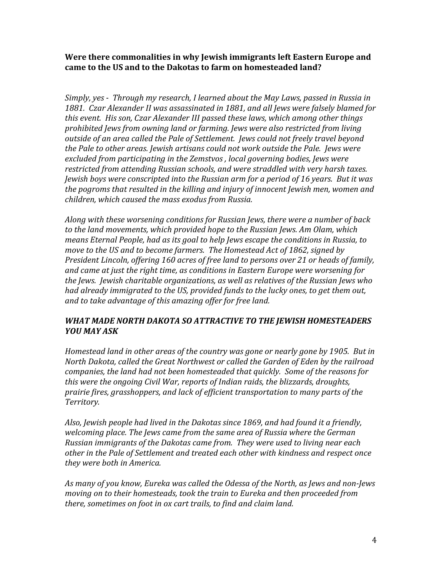**Were there commonalities in why Jewish immigrants left Eastern Europe and came to the US and to the Dakotas to farm on homesteaded land?**

*Simply, yes ‐ Through my research, I learned about the May Laws, passed in Russia in 1881. Czar Alexander II was assassinated in 1881, and all Jews were falsely blamed for this event. His son, Czar Alexander III passed these laws, which among other things prohibited Jews from owning land or farming. Jews were also restricted from living outside of an area called the Pale of Settlement. Jews could not freely travel beyond the Pale to other areas. Jewish artisans could not work outside the Pale. Jews were excluded from participating in the Zemstvos , local governing bodies, Jews were restricted from attending Russian schools, and were straddled with very harsh taxes. Jewish boys were conscripted into the Russian arm for a period of 16 years. But it was the pogroms that resulted in the killing and injury of innocent Jewish men, women and children, which caused the mass exodus from Russia.*

*Along with these worsening conditions for Russian Jews, there were a number of back to the land movements, which provided hope to the Russian Jews. Am Olam, which means Eternal People, had as its goal to help Jews escape the conditions in Russia, to move to the US and to become farmers. The Homestead Act of 1862, signed by President Lincoln, offering 160 acres of free land to persons over 21 or heads of family, and came at just the right time, as conditions in Eastern Europe were worsening for the Jews. Jewish charitable organizations, as well as relatives of the Russian Jews who had already immigrated to the US, provided funds to the lucky ones, to get them out, and to take advantage of this amazing offer for free land.* 

# *WHAT MADE NORTH DAKOTA SO ATTRACTIVE TO THE JEWISH HOMESTEADERS YOU MAY ASK*

*Homestead land in other areas of the country was gone or nearly gone by 1905. But in North Dakota, called the Great Northwest or called the Garden of Eden by the railroad companies, the land had not been homesteaded that quickly. Some of the reasons for this were the ongoing Civil War, reports of Indian raids, the blizzards, droughts, prairie fires, grasshoppers, and lack of efficient transportation to many parts of the*  $T$ *erritory.* 

*Also, Jewish people had lived in the Dakotas since 1869, and had found it a friendly, welcoming place. The Jews came from the same area of Russia where the German Russian immigrants of the Dakotas came from. They were used to living near each other in the Pale of Settlement and treated each other with kindness and respect once they were both in America.*

*As many of you know, Eureka was called the Odessa of the North, as Jews and non‐Jews moving on to their homesteads, took the train to Eureka and then proceeded from there, sometimes on foot in ox cart trails, to find and claim land.*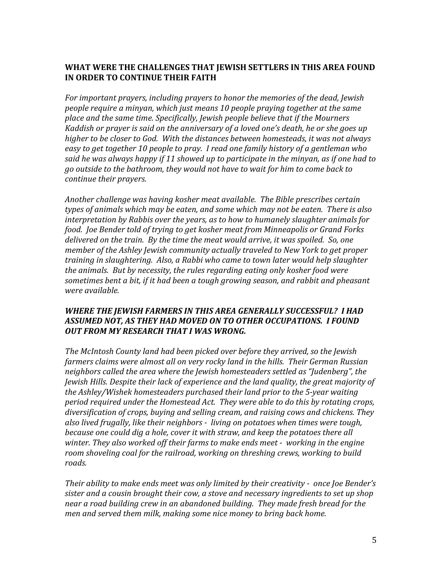# **WHAT WERE THE CHALLENGES THAT JEWISH SETTLERS IN THIS AREA FOUND IN ORDER TO CONTINUE THEIR FAITH**

*For important prayers, including prayers to honor the memories of the dead, Jewish people require a minyan, which just means 10 people praying together at the same place and the same time. Specifically, Jewish people believe that if the Mourners Kaddish or prayer is said on the anniversary of a loved one's death, he or she goes up higher to be closer to God. With the distances between homesteads, it was not always easy to get together 10 people to pray. I read one family history of a gentleman who said he was always happy if 11 showed up to participate in the minyan, as if one had to go outside to the bathroom, they would not have to wait for him to come back to continue their prayers.*

*Another challenge was having kosher meat available. The Bible prescribes certain types of animals which may be eaten, and some which may not be eaten. There is also interpretation by Rabbis over the years, as to how to humanely slaughter animals for food. Joe Bender told of trying to get kosher meat from Minneapolis or Grand Forks delivered on the train. By the time the meat would arrive, it was spoiled. So, one member of the Ashley Jewish community actually traveled to New York to get proper training in slaughtering. Also, a Rabbi who came to town later would help slaughter the animals. But by necessity, the rules regarding eating only kosher food were sometimes bent a bit, if it had been a tough growing season, and rabbit and pheasant were available.*

# *WHERE THE JEWISH FARMERS IN THIS AREA GENERALLY SUCCESSFUL? I HAD ASSUMED NOT, AS THEY HAD MOVED ON TO OTHER OCCUPATIONS. I FOUND OUT FROM MY RESEARCH THAT I WAS WRONG.*

*The McIntosh County land had been picked over before they arrived, so the Jewish farmers claims were almost all on very rocky land in the hills. Their German Russian neighbors called the area where the Jewish homesteaders settled as "Judenberg", the Jewish Hills. Despite their lack of experience and the land quality, the great majority of the Ashley/Wishek homesteaders purchased their land prior to the 5‐year waiting period required under the Homestead Act. They were able to do this by rotating crops, diversification of crops, buying and selling cream, and raising cows and chickens. They also lived frugally, like their neighbors ‐ living on potatoes when times were tough, because one could dig a hole, cover it with straw, and keep the potatoes there all winter. They also worked off their farms to make ends meet ‐ working in the engine room shoveling coal for the railroad, working on threshing crews, working to build roads.* 

*Their ability to make ends meet was only limited by their creativity ‐ once Joe Bender's sister and a cousin brought their cow, a stove and necessary ingredients to set up shop near a road building crew in an abandoned building. They made fresh bread for the men and served them milk, making some nice money to bring back home.*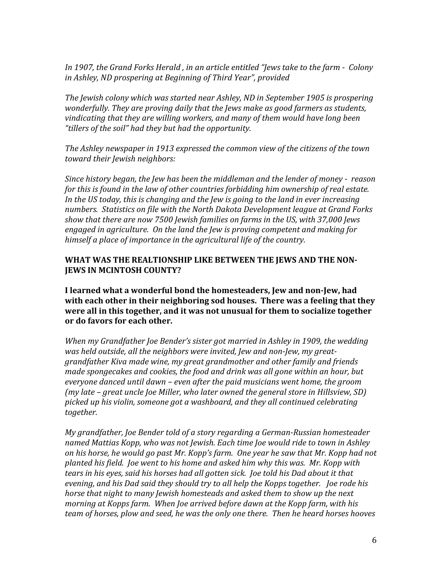*In 1907, the Grand Forks Herald , in an article entitled "Jews take to the farm ‐ Colony in Ashley, ND prospering at Beginning of Third Year", provided*

*The Jewish colony which was started near Ashley, ND in September 1905 is prospering wonderfully. They are proving daily that the Jews make as good farmers as students, vindicating that they are willing workers, and many of them would have long been "tillers of the soil" had they but had the opportunity.* 

*The Ashley newspaper in 1913 expressed the common view of the citizens of the town toward their Jewish neighbors:*

*Since history began, the Jew has been the middleman and the lender of money ‐ reason for this is found in the law of other countries forbidding him ownership of real estate. In the US today, this is changing and the Jew is going to the land in ever increasing numbers. Statistics on file with the North Dakota Development league at Grand Forks show that there are now 7500 Jewish families on farms in the US, with 37,000 Jews engaged in agriculture. On the land the Jew is proving competent and making for himself a place of importance in the agricultural life of the country.* 

## **WHAT WAS THE REALTIONSHIP LIKE BETWEEN THE JEWS AND THE NON‐ JEWS IN MCINTOSH COUNTY?**

**I learned what a wonderful bond the homesteaders, Jew and non‐Jew, had with each other in their neighboring sod houses. There was a feeling that they were all in this together, and it was not unusual for them to socialize together or do favors for each other.** 

*When my Grandfather Joe Bender's sister got married in Ashley in 1909, the wedding was held outside, all the neighbors were invited, Jew and non‐Jew, my great‐ grandfather Kiva made wine, my great grandmother and other family and friends made spongecakes and cookies, the food and drink was all gone within an hour, but everyone danced until dawn – even after the paid musicians went home, the groom (my late – great uncle Joe Miller, who later owned the general store in Hillsview, SD) picked up his violin, someone got a washboard, and they all continued celebrating together.*

*My grandfather, Joe Bender told of a story regarding a German‐Russian homesteader named Mattias Kopp, who was not Jewish. Each time Joe would ride to town in Ashley* on his horse, he would go past Mr. Kopp's farm. One year he saw that Mr. Kopp had not *planted his field. Joe went to his home and asked him why this was. Mr. Kopp with tears in his eyes, said his horses had all gotten sick. Joe told his Dad about it that evening, and his Dad said they should try to all help the Kopps together. Joe rode his horse that night to many Jewish homesteads and asked them to show up the next morning at Kopps farm. When Joe arrived before dawn at the Kopp farm, with his team of horses, plow and seed, he was the only one there. Then he heard horses hooves*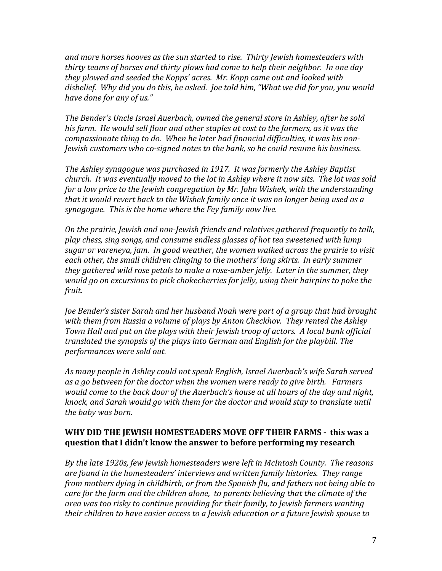*and more horses hooves as the sun started to rise. Thirty Jewish homesteaders with thirty teams of horses and thirty plows had come to help their neighbor. In one day they plowed and seeded the Kopps' acres. Mr. Kopp came out and looked with* disbelief. Why did you do this, he asked. Joe told him, "What we did for you, you would *have done for any of us."*

*The Bender's Uncle Israel Auerbach, owned the general store in Ashley, after he sold his farm. He would sell flour and other staples at cost to the farmers, as it was the compassionate thing to do. When he later had financial difficulties, it was his non‐ Jewish customers who co‐signed notes to the bank, so he could resume his business.*

*The Ashley synagogue was purchased in 1917. It was formerly the Ashley Baptist* church. It was eventually moved to the lot in Ashley where it now sits. The lot was sold *for a low price to the Jewish congregation by Mr. John Wishek, with the understanding that it would revert back to the Wishek family once it was no longer being used as a synagogue. This is the home where the Fey family now live.*

*On the prairie, Jewish and non‐Jewish friends and relatives gathered frequently to talk, play chess, sing songs, and consume endless glasses of hot tea sweetened with lump sugar or vareneya, jam. In good weather, the women walked across the prairie to visit each other, the small children clinging to the mothers' long skirts. In early summer they gathered wild rose petals to make a rose‐amber jelly. Later in the summer, they would go on excursions to pick chokecherries for jelly, using their hairpins to poke the fruit.*

*Joe Bender's sister Sarah and her husband Noah were part of a group that had brought with them from Russia a volume of plays by Anton Checkhov. They rented the Ashley Town Hall and put on the plays with their Jewish troop of actors. A local bank official translated the synopsis of the plays into German and English for the playbill. The performances were sold out.*

*As many people in Ashley could not speak English, Israel Auerbach's wife Sarah served as a go between for the doctor when the women were ready to give birth. Farmers would come to the back door of the Auerbach's house at all hours of the day and night, knock, and Sarah would go with them for the doctor and would stay to translate until the baby was born.* 

# **WHY DID THE JEWISH HOMESTEADERS MOVE OFF THEIR FARMS ‐ this was a question that I didn't know the answer to before performing my research**

*By the late 1920s, few Jewish homesteaders were left in McIntosh County. The reasons are found in the homesteaders' interviews and written family histories. They range from mothers dying in childbirth, or from the Spanish flu, and fathers not being able to care for the farm and the children alone, to parents believing that the climate of the area was too risky to continue providing for their family, to Jewish farmers wanting their children to have easier access to a Jewish education or a future Jewish spouse to*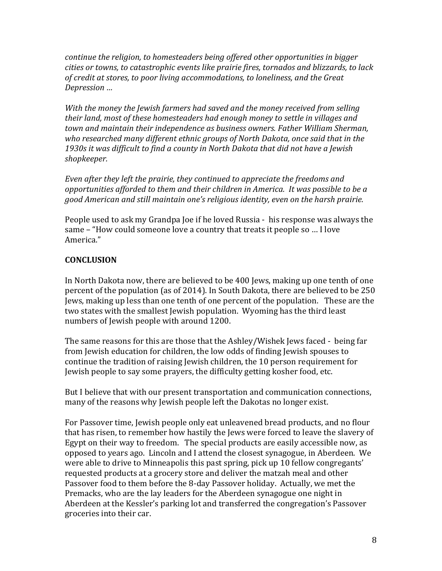*continue the religion, to homesteaders being offered other opportunities in bigger cities or towns, to catastrophic events like prairie fires, tornados and blizzards, to lack of credit at stores, to poor living accommodations, to loneliness, and the Great*  $Depression$  ...

*With the money the Jewish farmers had saved and the money received from selling their land, most of these homesteaders had enough money to settle in villages and town and maintain their independence as business owners. Father William Sherman, who researched many different ethnic groups of North Dakota, once said that in the 1930s it was difficult to find a county in North Dakota that did not have a Jewish* shopkeeper.

*Even after they left the prairie, they continued to appreciate the freedoms and opportunities afforded to them and their children in America. It was possible to be a good American and still maintain one's religious identity, even on the harsh prairie.* 

People used to ask my Grandpa Joe if he loved Russia - his response was always the same – "How could someone love a country that treats it people so … I love America."

# **CONCLUSION**

In North Dakota now, there are believed to be 400 Jews, making up one tenth of one percent of the population (as of 2014). In South Dakota, there are believed to be 250 Jews, making up less than one tenth of one percent of the population. These are the two states with the smallest Jewish population. Wyoming has the third least numbers of Jewish people with around 1200.

The same reasons for this are those that the Ashley/Wishek Jews faced - being far from Jewish education for children, the low odds of finding Jewish spouses to continue the tradition of raising Jewish children, the 10 person requirement for Jewish people to say some prayers, the difficulty getting kosher food, etc.

But I believe that with our present transportation and communication connections, many of the reasons why Jewish people left the Dakotas no longer exist.

For Passover time, Jewish people only eat unleavened bread products, and no flour that has risen, to remember how hastily the Jews were forced to leave the slavery of Egypt on their way to freedom. The special products are easily accessible now, as opposed to years ago. Lincoln and I attend the closest synagogue, in Aberdeen. We were able to drive to Minneapolis this past spring, pick up 10 fellow congregants' requested products at a grocery store and deliver the matzah meal and other Passover food to them before the 8-day Passover holiday. Actually, we met the Premacks, who are the lay leaders for the Aberdeen synagogue one night in Aberdeen at the Kessler's parking lot and transferred the congregation's Passover groceries into their car.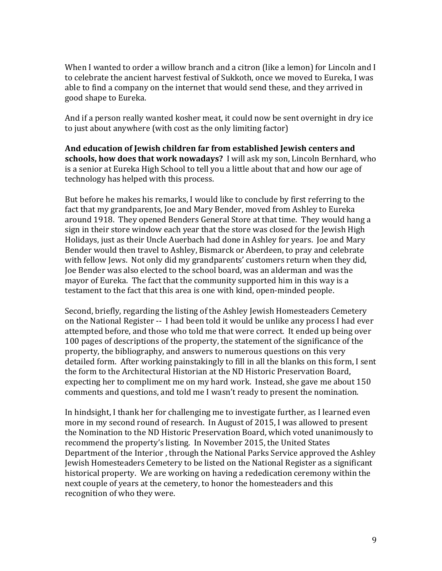When I wanted to order a willow branch and a citron (like a lemon) for Lincoln and I to celebrate the ancient harvest festival of Sukkoth, once we moved to Eureka, I was able to find a company on the internet that would send these, and they arrived in good shape to Eureka.

And if a person really wanted kosher meat, it could now be sent overnight in dry ice to just about anywhere (with cost as the only limiting factor)

**And education of Jewish children far from established Jewish centers and schools, how does that work nowadays?** I will ask my son, Lincoln Bernhard, who is a senior at Eureka High School to tell you a little about that and how our age of technology has helped with this process.

But before he makes his remarks, I would like to conclude by first referring to the fact that my grandparents, Joe and Mary Bender, moved from Ashley to Eureka around 1918. They opened Benders General Store at that time. They would hang a sign in their store window each year that the store was closed for the Jewish High Holidays, just as their Uncle Auerbach had done in Ashley for years. Joe and Mary Bender would then travel to Ashley, Bismarck or Aberdeen, to pray and celebrate with fellow Jews. Not only did my grandparents' customers return when they did, Joe Bender was also elected to the school board, was an alderman and was the mayor of Eureka. The fact that the community supported him in this way is a testament to the fact that this area is one with kind, open-minded people.

Second, briefly, regarding the listing of the Ashley Jewish Homesteaders Cemetery on the National Register -- I had been told it would be unlike any process I had ever attempted before, and those who told me that were correct. It ended up being over 100 pages of descriptions of the property, the statement of the significance of the property, the bibliography, and answers to numerous questions on this very detailed form. After working painstakingly to fill in all the blanks on this form, I sent the form to the Architectural Historian at the ND Historic Preservation Board, expecting her to compliment me on my hard work. Instead, she gave me about 150 comments and questions, and told me I wasn't ready to present the nomination.

In hindsight, I thank her for challenging me to investigate further, as I learned even more in my second round of research. In August of 2015, I was allowed to present the Nomination to the ND Historic Preservation Board, which voted unanimously to recommend the property's listing. In November 2015, the United States Department of the Interior , through the National Parks Service approved the Ashley Jewish Homesteaders Cemetery to be listed on the National Register as a significant historical property. We are working on having a rededication ceremony within the next couple of years at the cemetery, to honor the homesteaders and this recognition of who they were.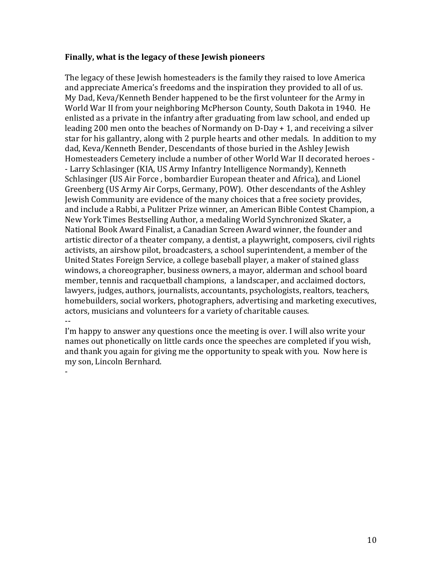#### **Finally, what is the legacy of these Jewish pioneers**

The legacy of these Jewish homesteaders is the family they raised to love America and appreciate America's freedoms and the inspiration they provided to all of us. My Dad, Keva/Kenneth Bender happened to be the first volunteer for the Army in World War II from your neighboring McPherson County, South Dakota in 1940. He enlisted as a private in the infantry after graduating from law school, and ended up leading 200 men onto the beaches of Normandy on D-Day + 1, and receiving a silver star for his gallantry, along with 2 purple hearts and other medals. In addition to my dad, Keva/Kenneth Bender, Descendants of those buried in the Ashley Jewish Homesteaders Cemetery include a number of other World War II decorated heroes - - Larry Schlasinger (KIA, US Army Infantry Intelligence Normandy), Kenneth Schlasinger (US Air Force , bombardier European theater and Africa), and Lionel Greenberg (US Army Air Corps, Germany, POW). Other descendants of the Ashley Jewish Community are evidence of the many choices that a free society provides, and include a Rabbi, a Pulitzer Prize winner, an American Bible Contest Champion, a New York Times Bestselling Author, a medaling World Synchronized Skater, a National Book Award Finalist, a Canadian Screen Award winner, the founder and artistic director of a theater company, a dentist, a playwright, composers, civil rights activists, an airshow pilot, broadcasters, a school superintendent, a member of the United States Foreign Service, a college baseball player, a maker of stained glass windows, a choreographer, business owners, a mayor, alderman and school board member, tennis and racquetball champions, a landscaper, and acclaimed doctors, lawyers, judges, authors, journalists, accountants, psychologists, realtors, teachers, homebuilders, social workers, photographers, advertising and marketing executives, actors, musicians and volunteers for a variety of charitable causes. --

I'm happy to answer any questions once the meeting is over. I will also write your names out phonetically on little cards once the speeches are completed if you wish, and thank you again for giving me the opportunity to speak with you. Now here is my son, Lincoln Bernhard.

-